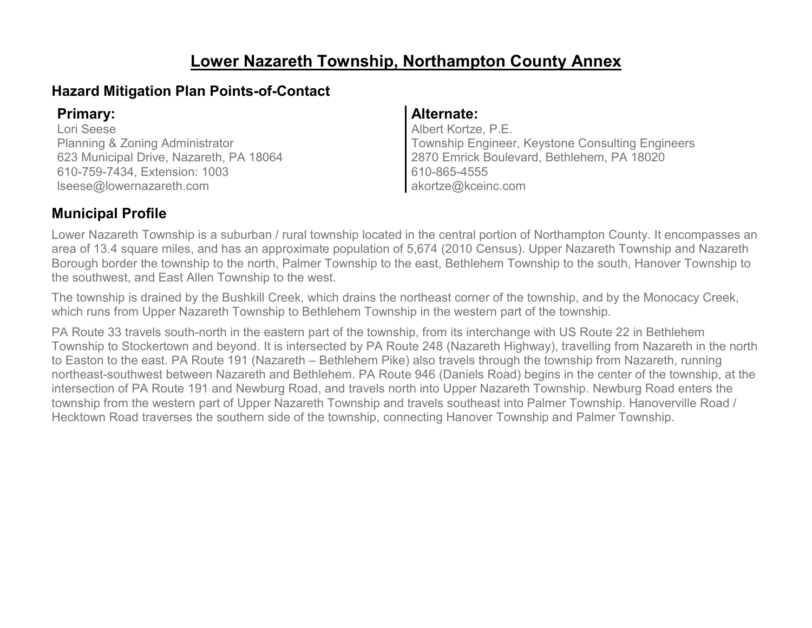### **Lower Nazareth Township, Northampton County Annex**

### **Hazard Mitigation Plan Points-of-Contact**

Lori Seese Planning & Zoning Administrator 623 Municipal Drive, Nazareth, PA 18064 610-759-7434, Extension: 1003 lseese@lowernazareth.com

#### **Primary: Alternate:**

Albert Kortze, P.E. Township Engineer, Keystone Consulting Engineers 2870 Emrick Boulevard, Bethlehem, PA 18020 610-865-4555 akortze@kceinc.com

### **Municipal Profile**

Lower Nazareth Township is a suburban / rural township located in the central portion of Northampton County. It encompasses an area of 13.4 square miles, and has an approximate population of 5,674 (2010 Census). Upper Nazareth Township and Nazareth Borough border the township to the north, Palmer Township to the east, Bethlehem Township to the south, Hanover Township to the southwest, and East Allen Township to the west.

The township is drained by the Bushkill Creek, which drains the northeast corner of the township, and by the Monocacy Creek, which runs from Upper Nazareth Township to Bethlehem Township in the western part of the township.

PA Route 33 travels south-north in the eastern part of the township, from its interchange with US Route 22 in Bethlehem Township to Stockertown and beyond. It is intersected by PA Route 248 (Nazareth Highway), travelling from Nazareth in the north to Easton to the east. PA Route 191 (Nazareth – Bethlehem Pike) also travels through the township from Nazareth, running northeast-southwest between Nazareth and Bethlehem. PA Route 946 (Daniels Road) begins in the center of the township, at the intersection of PA Route 191 and Newburg Road, and travels north into Upper Nazareth Township. Newburg Road enters the township from the western part of Upper Nazareth Township and travels southeast into Palmer Township. Hanoverville Road / Hecktown Road traverses the southern side of the township, connecting Hanover Township and Palmer Township.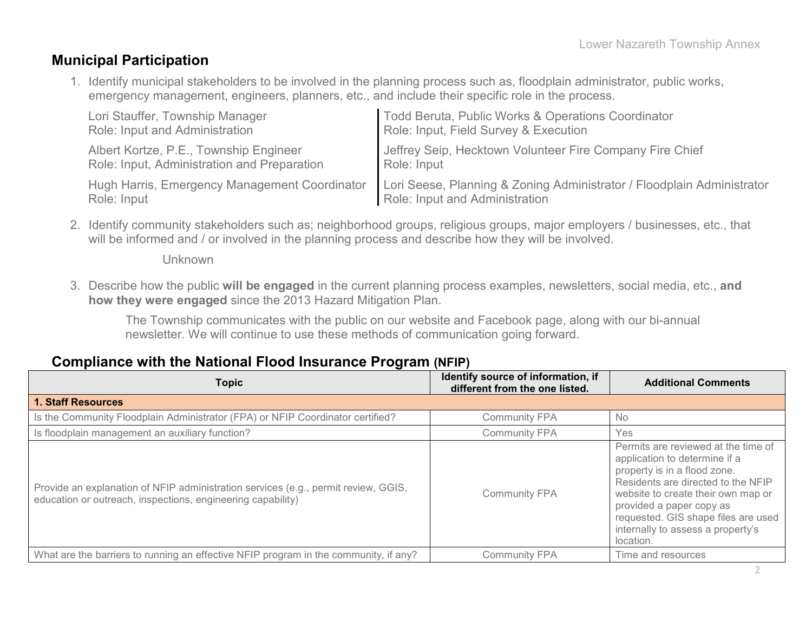#### **Municipal Participation**

1. Identify municipal stakeholders to be involved in the planning process such as, floodplain administrator, public works, emergency management, engineers, planners, etc., and include their specific role in the process.

| Lori Stauffer, Township Manager               | Todd Beruta, Public Works & Operations Coordinator                     |
|-----------------------------------------------|------------------------------------------------------------------------|
| Role: Input and Administration                | Role: Input, Field Survey & Execution                                  |
| Albert Kortze, P.E., Township Engineer        | Jeffrey Seip, Hecktown Volunteer Fire Company Fire Chief               |
| Role: Input, Administration and Preparation   | Role: Input                                                            |
| Hugh Harris, Emergency Management Coordinator | Lori Seese, Planning & Zoning Administrator / Floodplain Administrator |
| Role: Input                                   | Role: Input and Administration                                         |

2. Identify community stakeholders such as; neighborhood groups, religious groups, major employers / businesses, etc., that will be informed and / or involved in the planning process and describe how they will be involved.

Unknown

3. Describe how the public **will be engaged** in the current planning process examples, newsletters, social media, etc., **and how they were engaged** since the 2013 Hazard Mitigation Plan.

The Township communicates with the public on our website and Facebook page, along with our bi-annual newsletter. We will continue to use these methods of communication going forward.

#### **Compliance with the National Flood Insurance Program (NFIP)**

| <b>Topic</b>                                                                                                                                      | Identify source of information, if<br>different from the one listed. | <b>Additional Comments</b>                                                                                                                                                                                                                                                                            |
|---------------------------------------------------------------------------------------------------------------------------------------------------|----------------------------------------------------------------------|-------------------------------------------------------------------------------------------------------------------------------------------------------------------------------------------------------------------------------------------------------------------------------------------------------|
| <b>1. Staff Resources</b>                                                                                                                         |                                                                      |                                                                                                                                                                                                                                                                                                       |
| Is the Community Floodplain Administrator (FPA) or NFIP Coordinator certified?                                                                    | <b>Community FPA</b>                                                 | <b>No</b>                                                                                                                                                                                                                                                                                             |
| Is floodplain management an auxiliary function?                                                                                                   | <b>Community FPA</b>                                                 | Yes                                                                                                                                                                                                                                                                                                   |
| Provide an explanation of NFIP administration services (e.g., permit review, GGIS,<br>education or outreach, inspections, engineering capability) | <b>Community FPA</b>                                                 | Permits are reviewed at the time of<br>application to determine if a<br>property is in a flood zone.<br>Residents are directed to the NFIP<br>website to create their own map or<br>provided a paper copy as<br>requested. GIS shape files are used<br>internally to assess a property's<br>location. |
| What are the barriers to running an effective NFIP program in the community, if any?                                                              | <b>Community FPA</b>                                                 | Time and resources                                                                                                                                                                                                                                                                                    |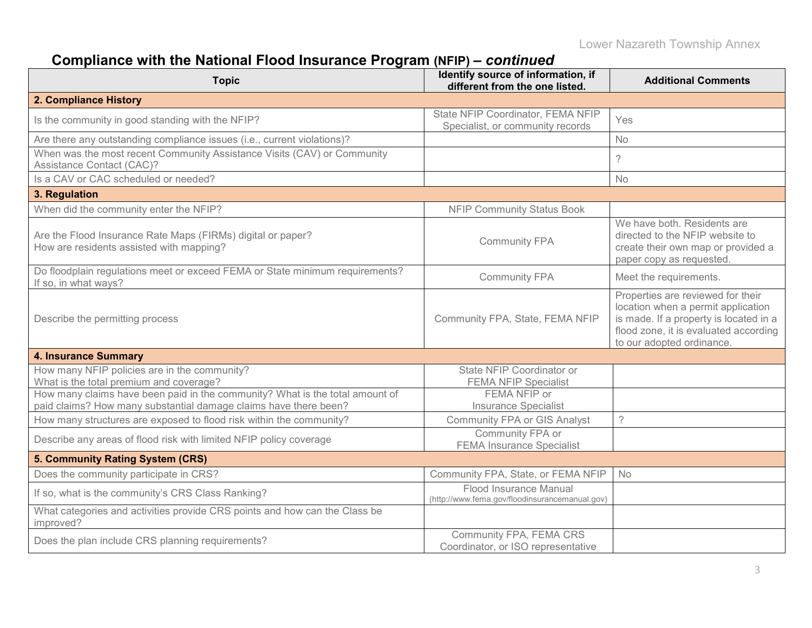### **Compliance with the National Flood Insurance Program (NFIP) –** *continued*

| <b>Topic</b>                                                                                                                                     | Identify source of information, if<br>different from the one listed.     | <b>Additional Comments</b>                                                                                                                                                              |
|--------------------------------------------------------------------------------------------------------------------------------------------------|--------------------------------------------------------------------------|-----------------------------------------------------------------------------------------------------------------------------------------------------------------------------------------|
| 2. Compliance History                                                                                                                            |                                                                          |                                                                                                                                                                                         |
| Is the community in good standing with the NFIP?                                                                                                 | State NFIP Coordinator, FEMA NFIP<br>Specialist, or community records    | Yes                                                                                                                                                                                     |
| Are there any outstanding compliance issues (i.e., current violations)?                                                                          |                                                                          | No                                                                                                                                                                                      |
| When was the most recent Community Assistance Visits (CAV) or Community<br>Assistance Contact (CAC)?                                             |                                                                          | $\overline{?}$                                                                                                                                                                          |
| Is a CAV or CAC scheduled or needed?                                                                                                             |                                                                          | <b>No</b>                                                                                                                                                                               |
| 3. Regulation                                                                                                                                    |                                                                          |                                                                                                                                                                                         |
| When did the community enter the NFIP?                                                                                                           | <b>NFIP Community Status Book</b>                                        |                                                                                                                                                                                         |
| Are the Flood Insurance Rate Maps (FIRMs) digital or paper?<br>How are residents assisted with mapping?                                          | <b>Community FPA</b>                                                     | We have both. Residents are<br>directed to the NFIP website to<br>create their own map or provided a<br>paper copy as requested.                                                        |
| Do floodplain regulations meet or exceed FEMA or State minimum requirements?<br>If so, in what ways?                                             | <b>Community FPA</b>                                                     | Meet the requirements.                                                                                                                                                                  |
| Describe the permitting process                                                                                                                  | Community FPA, State, FEMA NFIP                                          | Properties are reviewed for their<br>location when a permit application<br>is made. If a property is located in a<br>flood zone, it is evaluated according<br>to our adopted ordinance. |
| <b>4. Insurance Summary</b>                                                                                                                      |                                                                          |                                                                                                                                                                                         |
| How many NFIP policies are in the community?<br>What is the total premium and coverage?                                                          | State NFIP Coordinator or<br><b>FEMA NFIP Specialist</b>                 |                                                                                                                                                                                         |
| How many claims have been paid in the community? What is the total amount of<br>paid claims? How many substantial damage claims have there been? | FEMA NFIP or<br><b>Insurance Specialist</b>                              |                                                                                                                                                                                         |
| How many structures are exposed to flood risk within the community?                                                                              | <b>Community FPA or GIS Analyst</b>                                      | $\overline{?}$                                                                                                                                                                          |
| Describe any areas of flood risk with limited NFIP policy coverage                                                                               | Community FPA or<br><b>FEMA Insurance Specialist</b>                     |                                                                                                                                                                                         |
| 5. Community Rating System (CRS)                                                                                                                 |                                                                          |                                                                                                                                                                                         |
| Does the community participate in CRS?                                                                                                           | Community FPA, State, or FEMA NFIP                                       | <b>No</b>                                                                                                                                                                               |
| If so, what is the community's CRS Class Ranking?                                                                                                | Flood Insurance Manual<br>(http://www.fema.gov/floodinsurancemanual.gov) |                                                                                                                                                                                         |
| What categories and activities provide CRS points and how can the Class be<br>improved?                                                          |                                                                          |                                                                                                                                                                                         |
| Does the plan include CRS planning requirements?                                                                                                 | Community FPA, FEMA CRS<br>Coordinator, or ISO representative            |                                                                                                                                                                                         |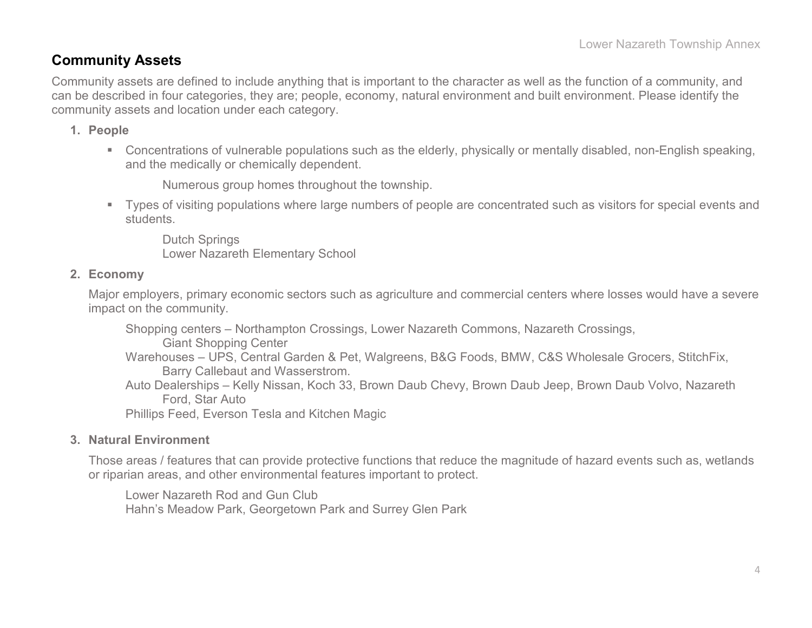#### **Community Assets**

Community assets are defined to include anything that is important to the character as well as the function of a community, and can be described in four categories, they are; people, economy, natural environment and built environment. Please identify the community assets and location under each category.

#### **1. People**

 Concentrations of vulnerable populations such as the elderly, physically or mentally disabled, non-English speaking, and the medically or chemically dependent.

Numerous group homes throughout the township.

 Types of visiting populations where large numbers of people are concentrated such as visitors for special events and students.

Dutch Springs Lower Nazareth Elementary School

#### **2. Economy**

Major employers, primary economic sectors such as agriculture and commercial centers where losses would have a severe impact on the community.

Shopping centers – Northampton Crossings, Lower Nazareth Commons, Nazareth Crossings,

Giant Shopping Center

- Warehouses UPS, Central Garden & Pet, Walgreens, B&G Foods, BMW, C&S Wholesale Grocers, StitchFix, Barry Callebaut and Wasserstrom.
- Auto Dealerships Kelly Nissan, Koch 33, Brown Daub Chevy, Brown Daub Jeep, Brown Daub Volvo, Nazareth Ford, Star Auto

Phillips Feed, Everson Tesla and Kitchen Magic

#### **3. Natural Environment**

Those areas / features that can provide protective functions that reduce the magnitude of hazard events such as, wetlands or riparian areas, and other environmental features important to protect.

Lower Nazareth Rod and Gun Club Hahn's Meadow Park, Georgetown Park and Surrey Glen Park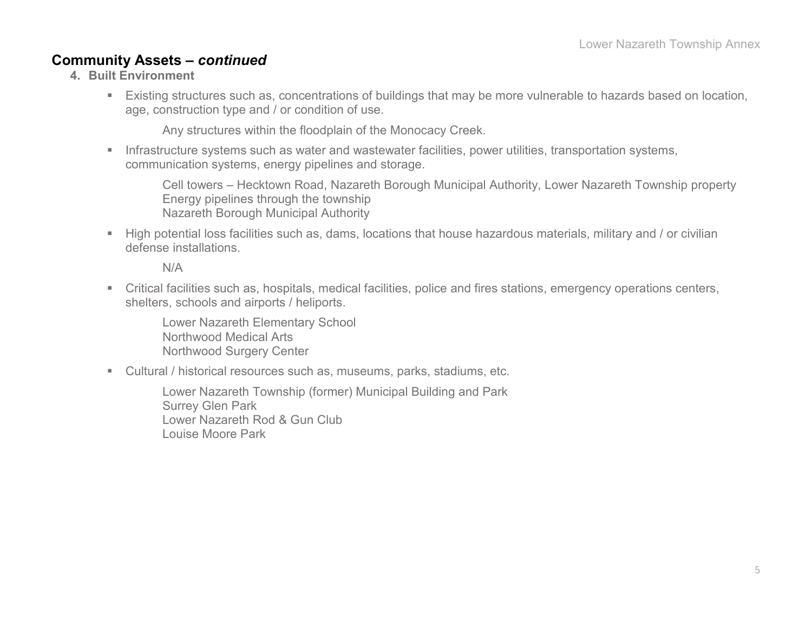#### **Community Assets –** *continued*

- **4. Built Environment**
	- Existing structures such as, concentrations of buildings that may be more vulnerable to hazards based on location, age, construction type and / or condition of use.

Any structures within the floodplain of the Monocacy Creek.

**Infrastructure systems such as water and wastewater facilities, power utilities, transportation systems,** communication systems, energy pipelines and storage.

Cell towers – Hecktown Road, Nazareth Borough Municipal Authority, Lower Nazareth Township property Energy pipelines through the township Nazareth Borough Municipal Authority

High potential loss facilities such as, dams, locations that house hazardous materials, military and / or civilian defense installations.

N/A

 Critical facilities such as, hospitals, medical facilities, police and fires stations, emergency operations centers, shelters, schools and airports / heliports.

Lower Nazareth Elementary School Northwood Medical Arts Northwood Surgery Center

Cultural / historical resources such as, museums, parks, stadiums, etc.

Lower Nazareth Township (former) Municipal Building and Park Surrey Glen Park Lower Nazareth Rod & Gun Club Louise Moore Park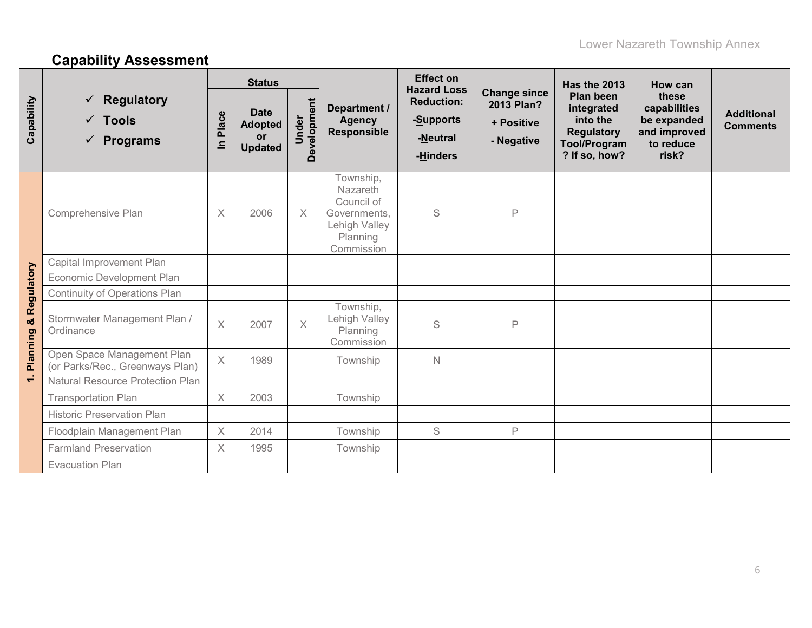# **Capability Assessment**

|                |                                                                       | <b>Status</b> |                                                              |                      |                                                                                                       | <b>Effect on</b><br><b>Hazard Loss</b>                 |                                                               | Has the 2013                                                                                     | How can                                                                    |                                      |
|----------------|-----------------------------------------------------------------------|---------------|--------------------------------------------------------------|----------------------|-------------------------------------------------------------------------------------------------------|--------------------------------------------------------|---------------------------------------------------------------|--------------------------------------------------------------------------------------------------|----------------------------------------------------------------------------|--------------------------------------|
| Capability     | <b>Regulatory</b><br>✓<br>$\checkmark$ Tools<br>$\checkmark$ Programs | Place<br>르    | <b>Date</b><br><b>Adopted</b><br><b>or</b><br><b>Updated</b> | Development<br>Under | Department /<br><b>Agency</b><br><b>Responsible</b>                                                   | <b>Reduction:</b><br>-Supports<br>-Neutral<br>-Hinders | <b>Change since</b><br>2013 Plan?<br>+ Positive<br>- Negative | Plan been<br>integrated<br>into the<br><b>Regulatory</b><br><b>Tool/Program</b><br>? If so, how? | these<br>capabilities<br>be expanded<br>and improved<br>to reduce<br>risk? | <b>Additional</b><br><b>Comments</b> |
|                | Comprehensive Plan                                                    | $\times$      | 2006                                                         | $\times$             | Township,<br><b>Nazareth</b><br>Council of<br>Governments,<br>Lehigh Valley<br>Planning<br>Commission | $\mathbb S$                                            | $\mathsf{P}$                                                  |                                                                                                  |                                                                            |                                      |
|                | Capital Improvement Plan                                              |               |                                                              |                      |                                                                                                       |                                                        |                                                               |                                                                                                  |                                                                            |                                      |
|                | Economic Development Plan                                             |               |                                                              |                      |                                                                                                       |                                                        |                                                               |                                                                                                  |                                                                            |                                      |
|                | <b>Continuity of Operations Plan</b>                                  |               |                                                              |                      |                                                                                                       |                                                        |                                                               |                                                                                                  |                                                                            |                                      |
| & Regulatory   | Stormwater Management Plan /<br>Ordinance                             | $\times$      | 2007                                                         | $\times$             | Township,<br>Lehigh Valley<br>Planning<br>Commission                                                  | S                                                      | P                                                             |                                                                                                  |                                                                            |                                      |
| Planning       | Open Space Management Plan<br>(or Parks/Rec., Greenways Plan)         | $\times$      | 1989                                                         |                      | Township                                                                                              | $\mathbb N$                                            |                                                               |                                                                                                  |                                                                            |                                      |
| $\overline{ }$ | <b>Natural Resource Protection Plan</b>                               |               |                                                              |                      |                                                                                                       |                                                        |                                                               |                                                                                                  |                                                                            |                                      |
|                | <b>Transportation Plan</b>                                            | $\times$      | 2003                                                         |                      | Township                                                                                              |                                                        |                                                               |                                                                                                  |                                                                            |                                      |
|                | <b>Historic Preservation Plan</b>                                     |               |                                                              |                      |                                                                                                       |                                                        |                                                               |                                                                                                  |                                                                            |                                      |
|                | Floodplain Management Plan                                            | $\times$      | 2014                                                         |                      | Township                                                                                              | S                                                      | P                                                             |                                                                                                  |                                                                            |                                      |
|                | <b>Farmland Preservation</b>                                          | $\times$      | 1995                                                         |                      | Township                                                                                              |                                                        |                                                               |                                                                                                  |                                                                            |                                      |
|                | <b>Evacuation Plan</b>                                                |               |                                                              |                      |                                                                                                       |                                                        |                                                               |                                                                                                  |                                                                            |                                      |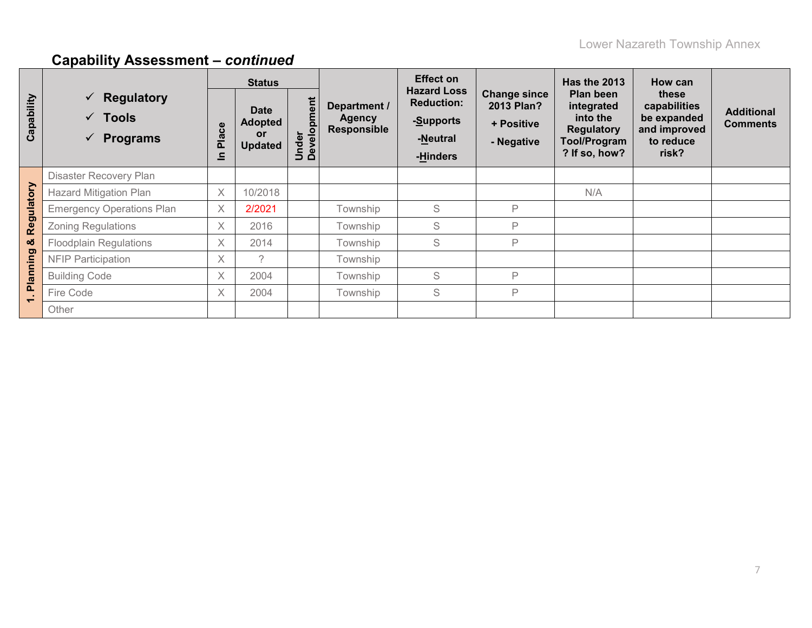|                          |                                                                                     | <b>Status</b> |                                                       |                      |                                                     | <b>Effect on</b>                                                             |                                                               | <b>Has the 2013</b>                                                                              | How can                                                                    |                                      |
|--------------------------|-------------------------------------------------------------------------------------|---------------|-------------------------------------------------------|----------------------|-----------------------------------------------------|------------------------------------------------------------------------------|---------------------------------------------------------------|--------------------------------------------------------------------------------------------------|----------------------------------------------------------------------------|--------------------------------------|
| Capability               | Regulatory<br>$\checkmark$<br>$\checkmark$ Tools<br><b>Programs</b><br>$\checkmark$ | Place<br>르    | <b>Date</b><br><b>Adopted</b><br>or<br><b>Updated</b> | Under<br>Development | Department /<br><b>Agency</b><br><b>Responsible</b> | <b>Hazard Loss</b><br><b>Reduction:</b><br>-Supports<br>-Neutral<br>-Hinders | <b>Change since</b><br>2013 Plan?<br>+ Positive<br>- Negative | Plan been<br>integrated<br>into the<br><b>Regulatory</b><br><b>Tool/Program</b><br>? If so, how? | these<br>capabilities<br>be expanded<br>and improved<br>to reduce<br>risk? | <b>Additional</b><br><b>Comments</b> |
|                          | Disaster Recovery Plan                                                              |               |                                                       |                      |                                                     |                                                                              |                                                               |                                                                                                  |                                                                            |                                      |
|                          | <b>Hazard Mitigation Plan</b>                                                       | X             | 10/2018                                               |                      |                                                     |                                                                              |                                                               | N/A                                                                                              |                                                                            |                                      |
|                          | <b>Emergency Operations Plan</b>                                                    | $\times$      | 2/2021                                                |                      | Township                                            | S                                                                            | P                                                             |                                                                                                  |                                                                            |                                      |
| Regulatory               | <b>Zoning Regulations</b>                                                           | X             | 2016                                                  |                      | Township                                            | S                                                                            | P                                                             |                                                                                                  |                                                                            |                                      |
| ಯ                        | <b>Floodplain Regulations</b>                                                       | X             | 2014                                                  |                      | Township                                            | S                                                                            | P                                                             |                                                                                                  |                                                                            |                                      |
|                          | <b>NFIP Participation</b>                                                           | X             | $\mathcal{P}$                                         |                      | Township                                            |                                                                              |                                                               |                                                                                                  |                                                                            |                                      |
| Planning                 | <b>Building Code</b>                                                                | X             | 2004                                                  |                      | Township                                            | S                                                                            | P                                                             |                                                                                                  |                                                                            |                                      |
| $\overline{\phantom{0}}$ | Fire Code                                                                           | X             | 2004                                                  |                      | Township                                            | S                                                                            | P                                                             |                                                                                                  |                                                                            |                                      |
|                          | Other                                                                               |               |                                                       |                      |                                                     |                                                                              |                                                               |                                                                                                  |                                                                            |                                      |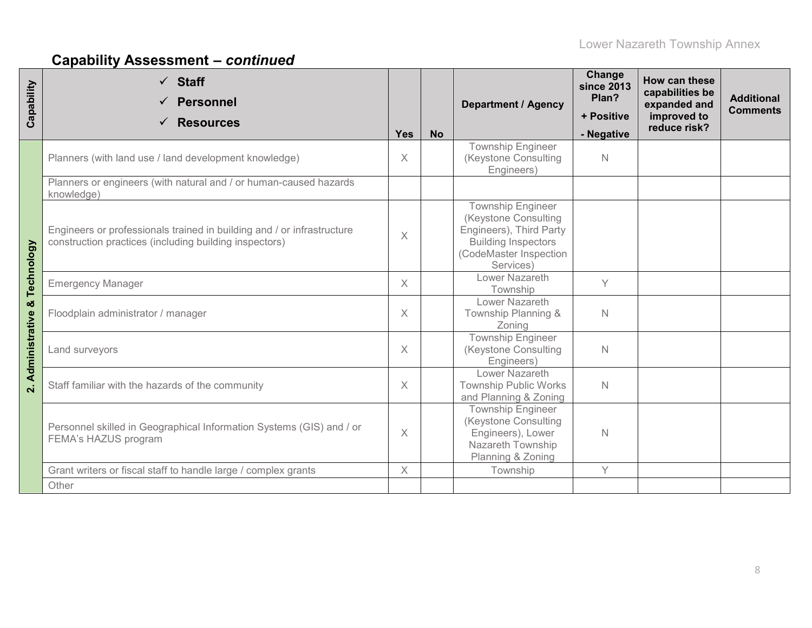| Capability         | $\checkmark$ Staff<br><b>Personnel</b><br><b>Resources</b>                                                                       | <b>Yes</b> | <b>No</b> | <b>Department / Agency</b>                                                                                                                       | Change<br>since 2013<br>Plan?<br>+ Positive<br>- Negative | How can these<br>capabilities be<br>expanded and<br>improved to<br>reduce risk? | <b>Additional</b><br><b>Comments</b> |
|--------------------|----------------------------------------------------------------------------------------------------------------------------------|------------|-----------|--------------------------------------------------------------------------------------------------------------------------------------------------|-----------------------------------------------------------|---------------------------------------------------------------------------------|--------------------------------------|
|                    | Planners (with land use / land development knowledge)                                                                            | X          |           | Township Engineer<br>(Keystone Consulting<br>Engineers)                                                                                          | $\mathbb N$                                               |                                                                                 |                                      |
|                    | Planners or engineers (with natural and / or human-caused hazards<br>knowledge)                                                  |            |           |                                                                                                                                                  |                                                           |                                                                                 |                                      |
| Technology         | Engineers or professionals trained in building and / or infrastructure<br>construction practices (including building inspectors) | $\chi$     |           | <b>Township Engineer</b><br>(Keystone Consulting<br>Engineers), Third Party<br><b>Building Inspectors</b><br>(CodeMaster Inspection<br>Services) |                                                           |                                                                                 |                                      |
|                    | <b>Emergency Manager</b>                                                                                                         | $\times$   |           | Lower Nazareth<br>Township                                                                                                                       | Y                                                         |                                                                                 |                                      |
| ×                  | Floodplain administrator / manager                                                                                               | $\times$   |           | Lower Nazareth<br>Township Planning &<br>Zoning                                                                                                  | $\mathbb N$                                               |                                                                                 |                                      |
| Administrative     | Land surveyors                                                                                                                   | $\times$   |           | Township Engineer<br>(Keystone Consulting<br>Engineers)                                                                                          | $\mathbb N$                                               |                                                                                 |                                      |
| $\dot{\mathbf{r}}$ | Staff familiar with the hazards of the community                                                                                 | X          |           | Lower Nazareth<br><b>Township Public Works</b><br>and Planning & Zoning                                                                          | $\mathbb N$                                               |                                                                                 |                                      |
|                    | Personnel skilled in Geographical Information Systems (GIS) and / or<br>FEMA's HAZUS program                                     | $\times$   |           | <b>Township Engineer</b><br>(Keystone Consulting<br>Engineers), Lower<br>Nazareth Township<br>Planning & Zoning                                  | N                                                         |                                                                                 |                                      |
|                    | Grant writers or fiscal staff to handle large / complex grants                                                                   | $\times$   |           | Township                                                                                                                                         | Y                                                         |                                                                                 |                                      |
|                    | Other                                                                                                                            |            |           |                                                                                                                                                  |                                                           |                                                                                 |                                      |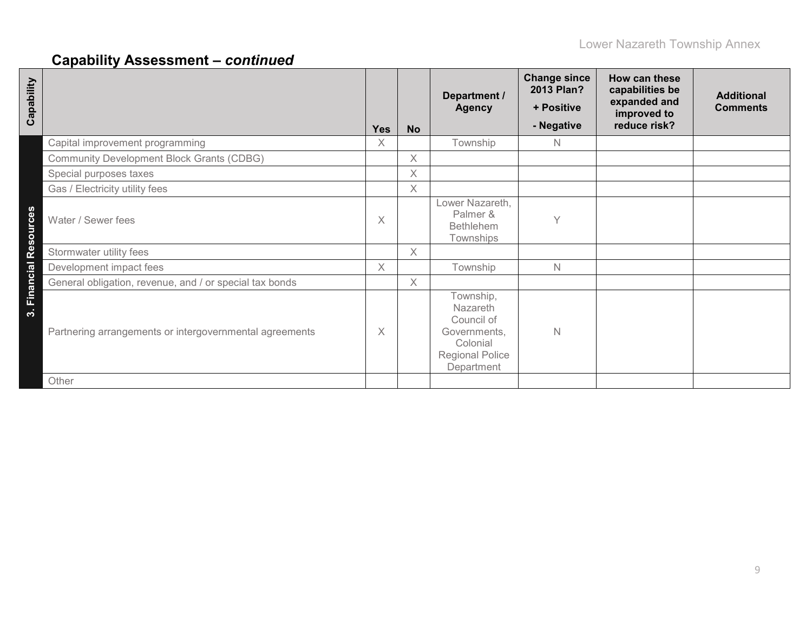| Capability                                              | <b>Yes</b> | <b>No</b> | Department /<br><b>Agency</b>                                                                           | <b>Change since</b><br>2013 Plan?<br>+ Positive<br>- Negative | How can these<br>capabilities be<br>expanded and<br>improved to<br>reduce risk? | <b>Additional</b><br><b>Comments</b> |
|---------------------------------------------------------|------------|-----------|---------------------------------------------------------------------------------------------------------|---------------------------------------------------------------|---------------------------------------------------------------------------------|--------------------------------------|
| Capital improvement programming                         | X          |           | Township                                                                                                | N                                                             |                                                                                 |                                      |
| <b>Community Development Block Grants (CDBG)</b>        |            | $\times$  |                                                                                                         |                                                               |                                                                                 |                                      |
| Special purposes taxes                                  |            | $\times$  |                                                                                                         |                                                               |                                                                                 |                                      |
| Gas / Electricity utility fees                          |            | $\times$  |                                                                                                         |                                                               |                                                                                 |                                      |
| 3. Financial Resources<br>Water / Sewer fees            | X          |           | Lower Nazareth,<br>Palmer &<br><b>Bethlehem</b><br>Townships                                            | Y                                                             |                                                                                 |                                      |
| Stormwater utility fees                                 |            | X         |                                                                                                         |                                                               |                                                                                 |                                      |
| Development impact fees                                 | X          |           | Township                                                                                                | N.                                                            |                                                                                 |                                      |
| General obligation, revenue, and / or special tax bonds |            | X         |                                                                                                         |                                                               |                                                                                 |                                      |
| Partnering arrangements or intergovernmental agreements | X          |           | Township,<br>Nazareth<br>Council of<br>Governments,<br>Colonial<br><b>Regional Police</b><br>Department | N                                                             |                                                                                 |                                      |
| Other                                                   |            |           |                                                                                                         |                                                               |                                                                                 |                                      |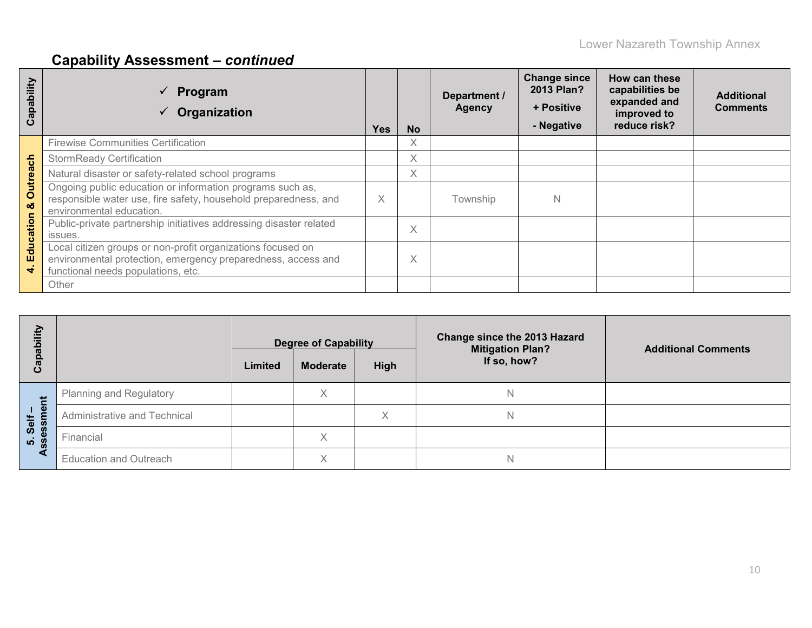| Capability           | Program<br>Organization                                                                                                                                           | Yes | <b>No</b> | Department /<br><b>Agency</b> | <b>Change since</b><br>2013 Plan?<br>+ Positive<br>- Negative | How can these<br>capabilities be<br>expanded and<br>improved to<br>reduce risk? | <b>Additional</b><br><b>Comments</b> |
|----------------------|-------------------------------------------------------------------------------------------------------------------------------------------------------------------|-----|-----------|-------------------------------|---------------------------------------------------------------|---------------------------------------------------------------------------------|--------------------------------------|
|                      | <b>Firewise Communities Certification</b>                                                                                                                         |     | X         |                               |                                                               |                                                                                 |                                      |
|                      | <b>StormReady Certification</b>                                                                                                                                   |     | X         |                               |                                                               |                                                                                 |                                      |
|                      | Natural disaster or safety-related school programs                                                                                                                |     | X         |                               |                                                               |                                                                                 |                                      |
| <b>Outreach</b><br>ಜ | Ongoing public education or information programs such as,<br>responsible water use, fire safety, household preparedness, and<br>environmental education.          | X   |           | Township                      | N                                                             |                                                                                 |                                      |
| Education            | Public-private partnership initiatives addressing disaster related<br>issues.                                                                                     |     | X         |                               |                                                               |                                                                                 |                                      |
| ÷                    | Local citizen groups or non-profit organizations focused on<br>environmental protection, emergency preparedness, access and<br>functional needs populations, etc. |     | Χ         |                               |                                                               |                                                                                 |                                      |
|                      | Other                                                                                                                                                             |     |           |                               |                                                               |                                                                                 |                                      |

| ility<br>de<br><b>Gap</b> |                                | Limited | <b>Degree of Capability</b><br><b>Moderate</b> | High | Change since the 2013 Hazard<br><b>Mitigation Plan?</b><br>If so, how? | <b>Additional Comments</b> |
|---------------------------|--------------------------------|---------|------------------------------------------------|------|------------------------------------------------------------------------|----------------------------|
| Έ                         | <b>Planning and Regulatory</b> |         | X                                              |      |                                                                        |                            |
| $1 \Phi$<br>Self          | Administrative and Technical   |         |                                                | X    |                                                                        |                            |
| က<br>၁<br><b>LO</b>       | Financial                      |         | X                                              |      |                                                                        |                            |
|                           | <b>Education and Outreach</b>  |         | $\checkmark$                                   |      |                                                                        |                            |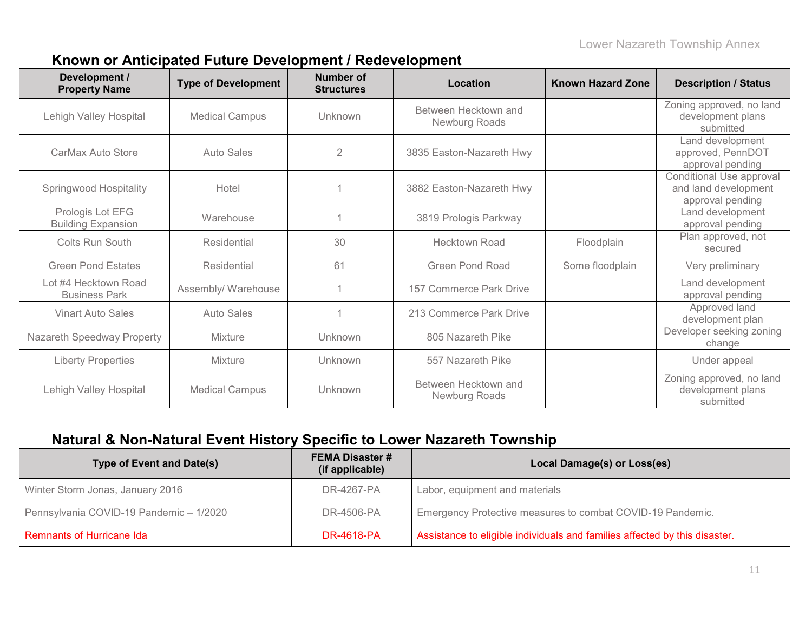### **Known or Anticipated Future Development / Redevelopment**

| Development /<br><b>Property Name</b>         | <b>Type of Development</b> | <b>Number of</b><br><b>Structures</b> | Location                              | <b>Known Hazard Zone</b> | <b>Description / Status</b>                                          |
|-----------------------------------------------|----------------------------|---------------------------------------|---------------------------------------|--------------------------|----------------------------------------------------------------------|
| Lehigh Valley Hospital                        | <b>Medical Campus</b>      | Unknown                               | Between Hecktown and<br>Newburg Roads |                          | Zoning approved, no land<br>development plans<br>submitted           |
| CarMax Auto Store                             | <b>Auto Sales</b>          | $\overline{2}$                        | 3835 Easton-Nazareth Hwy              |                          | Land development<br>approved, PennDOT<br>approval pending            |
| <b>Springwood Hospitality</b>                 | Hotel                      |                                       | 3882 Easton-Nazareth Hwy              |                          | Conditional Use approval<br>and land development<br>approval pending |
| Prologis Lot EFG<br><b>Building Expansion</b> | Warehouse                  |                                       | 3819 Prologis Parkway                 |                          | Land development<br>approval pending                                 |
| Colts Run South                               | Residential                | 30                                    | <b>Hecktown Road</b>                  | Floodplain               | Plan approved, not<br>secured                                        |
| <b>Green Pond Estates</b>                     | Residential                | 61                                    | <b>Green Pond Road</b>                | Some floodplain          | Very preliminary                                                     |
| Lot #4 Hecktown Road<br><b>Business Park</b>  | Assembly/ Warehouse        |                                       | 157 Commerce Park Drive               |                          | Land development<br>approval pending                                 |
| <b>Vinart Auto Sales</b>                      | <b>Auto Sales</b>          |                                       | 213 Commerce Park Drive               |                          | Approved land<br>development plan                                    |
| Nazareth Speedway Property                    | <b>Mixture</b>             | Unknown                               | 805 Nazareth Pike                     |                          | Developer seeking zoning<br>change                                   |
| <b>Liberty Properties</b>                     | Mixture                    | Unknown                               | 557 Nazareth Pike                     |                          | Under appeal                                                         |
| Lehigh Valley Hospital                        | <b>Medical Campus</b>      | Unknown                               | Between Hecktown and<br>Newburg Roads |                          | Zoning approved, no land<br>development plans<br>submitted           |

### **Natural & Non-Natural Event History Specific to Lower Nazareth Township**

| <b>Type of Event and Date(s)</b>        | <b>FEMA Disaster #</b><br>(if applicable) | Local Damage(s) or Loss(es)                                                |
|-----------------------------------------|-------------------------------------------|----------------------------------------------------------------------------|
| Winter Storm Jonas, January 2016        | DR-4267-PA                                | Labor, equipment and materials                                             |
| Pennsylvania COVID-19 Pandemic - 1/2020 | DR-4506-PA                                | Emergency Protective measures to combat COVID-19 Pandemic.                 |
| <b>Remnants of Hurricane Ida</b>        | <b>DR-4618-PA</b>                         | Assistance to eligible individuals and families affected by this disaster. |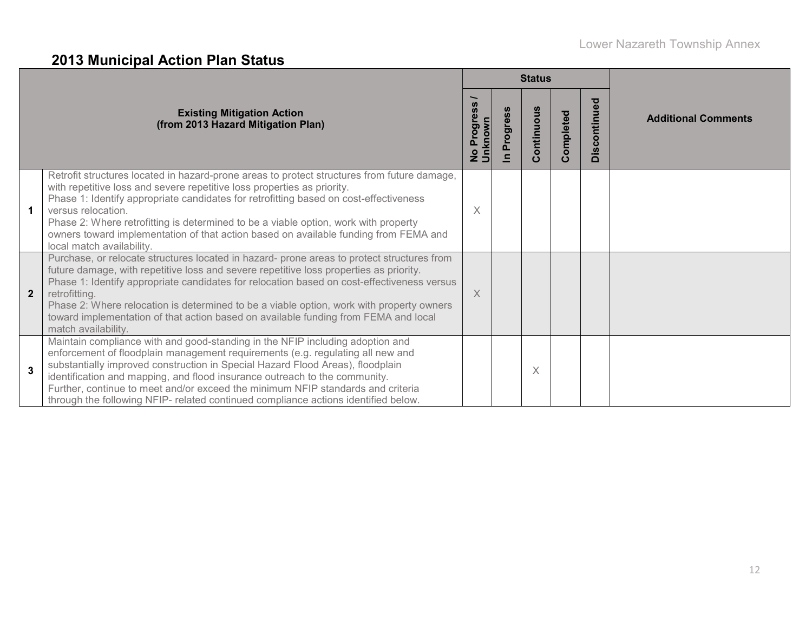# **2013 Municipal Action Plan Status**

|                |                                                                                                                                                                                                                                                                                                                                                                                                                                                                                                               |                       |                            | <b>Status</b> |           |              |                            |
|----------------|---------------------------------------------------------------------------------------------------------------------------------------------------------------------------------------------------------------------------------------------------------------------------------------------------------------------------------------------------------------------------------------------------------------------------------------------------------------------------------------------------------------|-----------------------|----------------------------|---------------|-----------|--------------|----------------------------|
|                | <b>Existing Mitigation Action</b><br>(from 2013 Hazard Mitigation Plan)                                                                                                                                                                                                                                                                                                                                                                                                                                       | No Progres<br>Unknown | Progress<br>$\overline{=}$ | Continuous    | Completed | Discontinued | <b>Additional Comments</b> |
| $\mathbf{1}$   | Retrofit structures located in hazard-prone areas to protect structures from future damage,<br>with repetitive loss and severe repetitive loss properties as priority.<br>Phase 1: Identify appropriate candidates for retrofitting based on cost-effectiveness<br>versus relocation.<br>Phase 2: Where retrofitting is determined to be a viable option, work with property<br>owners toward implementation of that action based on available funding from FEMA and<br>local match availability.             | $\times$              |                            |               |           |              |                            |
| $\overline{2}$ | Purchase, or relocate structures located in hazard- prone areas to protect structures from<br>future damage, with repetitive loss and severe repetitive loss properties as priority.<br>Phase 1: Identify appropriate candidates for relocation based on cost-effectiveness versus<br>retrofitting.<br>Phase 2: Where relocation is determined to be a viable option, work with property owners<br>toward implementation of that action based on available funding from FEMA and local<br>match availability. | $\times$              |                            |               |           |              |                            |
| 3              | Maintain compliance with and good-standing in the NFIP including adoption and<br>enforcement of floodplain management requirements (e.g. regulating all new and<br>substantially improved construction in Special Hazard Flood Areas), floodplain<br>identification and mapping, and flood insurance outreach to the community.<br>Further, continue to meet and/or exceed the minimum NFIP standards and criteria<br>through the following NFIP- related continued compliance actions identified below.      |                       |                            | X             |           |              |                            |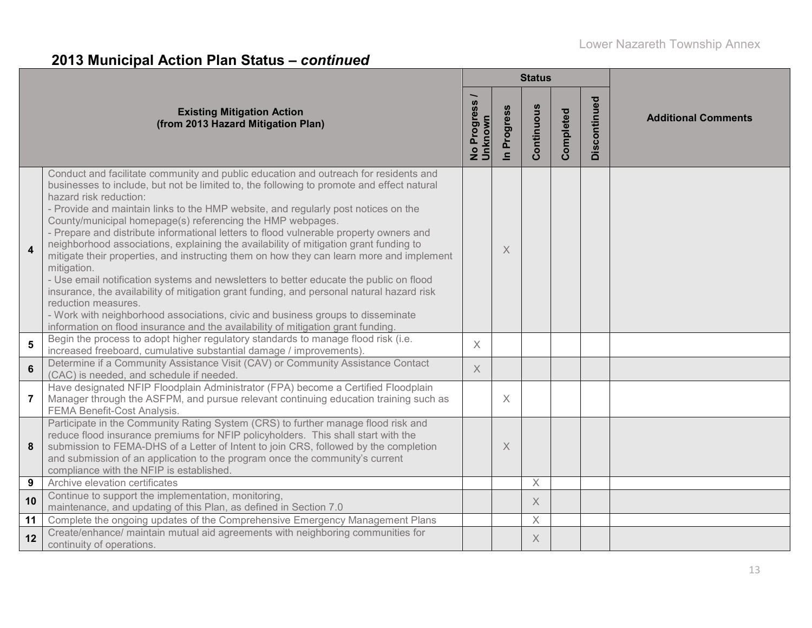# **2013 Municipal Action Plan Status –** *continued*

|                |                                                                                                                                                                                                                                                                                                                                                                                                                                                                                                                                                                                                                                                                                                                                                                                                                                                                                                                                                                                                                                                    |                          |                          | <b>Status</b> |           |              |                            |
|----------------|----------------------------------------------------------------------------------------------------------------------------------------------------------------------------------------------------------------------------------------------------------------------------------------------------------------------------------------------------------------------------------------------------------------------------------------------------------------------------------------------------------------------------------------------------------------------------------------------------------------------------------------------------------------------------------------------------------------------------------------------------------------------------------------------------------------------------------------------------------------------------------------------------------------------------------------------------------------------------------------------------------------------------------------------------|--------------------------|--------------------------|---------------|-----------|--------------|----------------------------|
|                | <b>Existing Mitigation Action</b><br>(from 2013 Hazard Mitigation Plan)                                                                                                                                                                                                                                                                                                                                                                                                                                                                                                                                                                                                                                                                                                                                                                                                                                                                                                                                                                            | No Progress /<br>Unknown | Progress<br>$\mathbf{a}$ | Continuous    | Completed | Discontinued | <b>Additional Comments</b> |
| 4              | Conduct and facilitate community and public education and outreach for residents and<br>businesses to include, but not be limited to, the following to promote and effect natural<br>hazard risk reduction:<br>- Provide and maintain links to the HMP website, and regularly post notices on the<br>County/municipal homepage(s) referencing the HMP webpages.<br>- Prepare and distribute informational letters to flood vulnerable property owners and<br>neighborhood associations, explaining the availability of mitigation grant funding to<br>mitigate their properties, and instructing them on how they can learn more and implement<br>mitigation.<br>- Use email notification systems and newsletters to better educate the public on flood<br>insurance, the availability of mitigation grant funding, and personal natural hazard risk<br>reduction measures.<br>- Work with neighborhood associations, civic and business groups to disseminate<br>information on flood insurance and the availability of mitigation grant funding. |                          | X                        |               |           |              |                            |
| 5              | Begin the process to adopt higher regulatory standards to manage flood risk (i.e.<br>increased freeboard, cumulative substantial damage / improvements).                                                                                                                                                                                                                                                                                                                                                                                                                                                                                                                                                                                                                                                                                                                                                                                                                                                                                           | $\times$                 |                          |               |           |              |                            |
| $6\phantom{1}$ | Determine if a Community Assistance Visit (CAV) or Community Assistance Contact<br>(CAC) is needed, and schedule if needed.                                                                                                                                                                                                                                                                                                                                                                                                                                                                                                                                                                                                                                                                                                                                                                                                                                                                                                                        | $\times$                 |                          |               |           |              |                            |
| 7              | Have designated NFIP Floodplain Administrator (FPA) become a Certified Floodplain<br>Manager through the ASFPM, and pursue relevant continuing education training such as<br><b>FEMA Benefit-Cost Analysis.</b>                                                                                                                                                                                                                                                                                                                                                                                                                                                                                                                                                                                                                                                                                                                                                                                                                                    |                          | $\times$                 |               |           |              |                            |
| 8              | Participate in the Community Rating System (CRS) to further manage flood risk and<br>reduce flood insurance premiums for NFIP policyholders. This shall start with the<br>submission to FEMA-DHS of a Letter of Intent to join CRS, followed by the completion<br>and submission of an application to the program once the community's current<br>compliance with the NFIP is established.                                                                                                                                                                                                                                                                                                                                                                                                                                                                                                                                                                                                                                                         |                          | $\times$                 |               |           |              |                            |
| 9              | Archive elevation certificates                                                                                                                                                                                                                                                                                                                                                                                                                                                                                                                                                                                                                                                                                                                                                                                                                                                                                                                                                                                                                     |                          |                          | $\times$      |           |              |                            |
| 10             | Continue to support the implementation, monitoring,<br>maintenance, and updating of this Plan, as defined in Section 7.0                                                                                                                                                                                                                                                                                                                                                                                                                                                                                                                                                                                                                                                                                                                                                                                                                                                                                                                           |                          |                          | X             |           |              |                            |
| 11             | Complete the ongoing updates of the Comprehensive Emergency Management Plans                                                                                                                                                                                                                                                                                                                                                                                                                                                                                                                                                                                                                                                                                                                                                                                                                                                                                                                                                                       |                          |                          | $\times$      |           |              |                            |
| 12             | Create/enhance/ maintain mutual aid agreements with neighboring communities for<br>continuity of operations.                                                                                                                                                                                                                                                                                                                                                                                                                                                                                                                                                                                                                                                                                                                                                                                                                                                                                                                                       |                          |                          | X             |           |              |                            |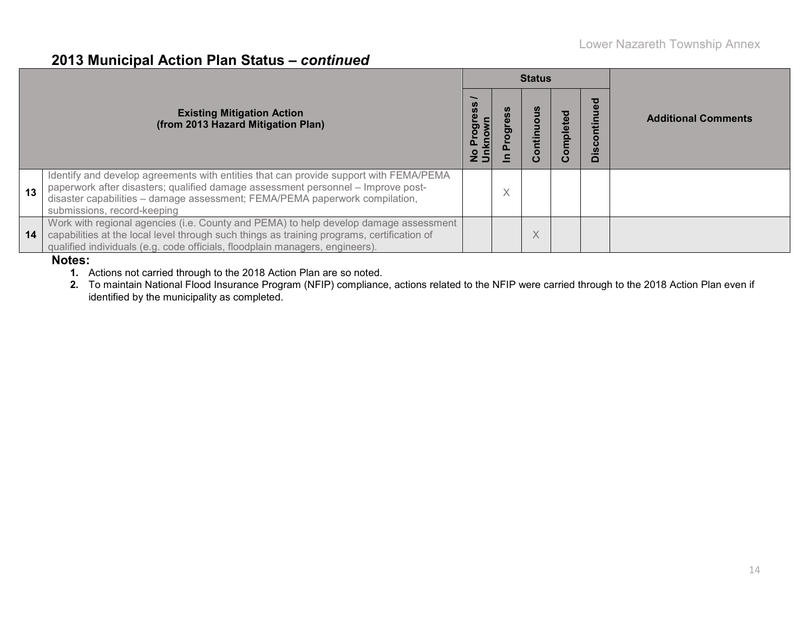### **2013 Municipal Action Plan Status –** *continued*

|    |                                                                                                                                                                                                                                                                                         |                                 |   | <b>Status</b>            |         |                                                  |                            |
|----|-----------------------------------------------------------------------------------------------------------------------------------------------------------------------------------------------------------------------------------------------------------------------------------------|---------------------------------|---|--------------------------|---------|--------------------------------------------------|----------------------------|
|    | <b>Existing Mitigation Action</b><br>(from 2013 Hazard Mitigation Plan)                                                                                                                                                                                                                 | ress<br>pol<br>ם פ<br>טהצה<br>D | ත | ntinuo<br>ပ              | mpleted | ಠ<br>Ē<br>$\bullet$<br>ပ<br><u>ທ</u><br>$\Omega$ | <b>Additional Comments</b> |
| 13 | Identify and develop agreements with entities that can provide support with FEMA/PEMA<br>paperwork after disasters; qualified damage assessment personnel - Improve post-<br>disaster capabilities - damage assessment; FEMA/PEMA paperwork compilation,<br>submissions, record-keeping |                                 | X |                          |         |                                                  |                            |
| 14 | Work with regional agencies (i.e. County and PEMA) to help develop damage assessment<br>capabilities at the local level through such things as training programs, certification of<br>qualified individuals (e.g. code officials, floodplain managers, engineers).<br>$\blacksquare$    |                                 |   | $\checkmark$<br>$\wedge$ |         |                                                  |                            |

#### **Notes:**

**1.** Actions not carried through to the 2018 Action Plan are so noted.

**2.** To maintain National Flood Insurance Program (NFIP) compliance, actions related to the NFIP were carried through to the 2018 Action Plan even if identified by the municipality as completed.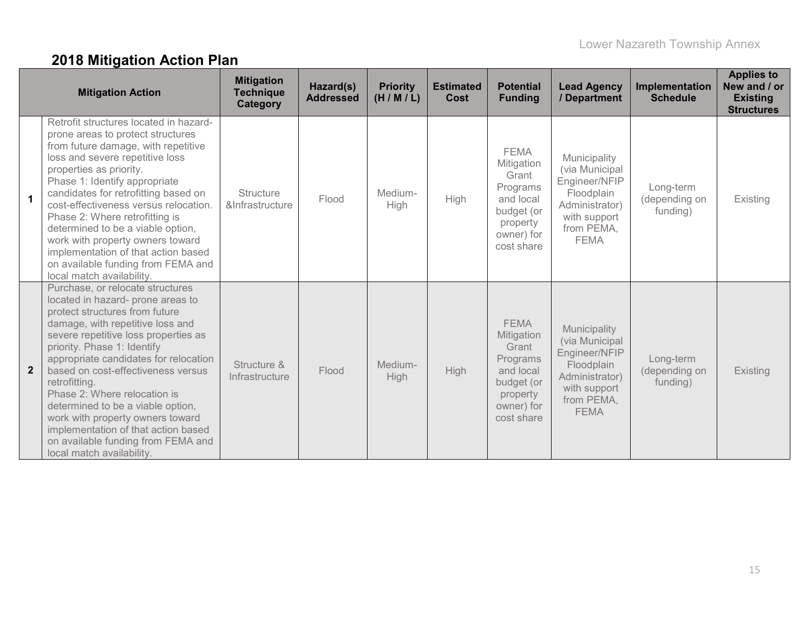# **2018 Mitigation Action Plan**

|                | <b>Mitigation Action</b>                                                                                                                                                                                                                                                                                                                                                                                                                                                                                                              | <b>Mitigation</b><br><b>Technique</b><br>Category | Hazard(s)<br><b>Addressed</b> | <b>Priority</b><br>(H/M/L) | <b>Estimated</b><br>Cost | <b>Potential</b><br><b>Funding</b>                                                                                | <b>Lead Agency</b><br>/ Department                                                                                           | Implementation<br><b>Schedule</b>      | <b>Applies to</b><br>New and / or<br><b>Existing</b><br><b>Structures</b> |
|----------------|---------------------------------------------------------------------------------------------------------------------------------------------------------------------------------------------------------------------------------------------------------------------------------------------------------------------------------------------------------------------------------------------------------------------------------------------------------------------------------------------------------------------------------------|---------------------------------------------------|-------------------------------|----------------------------|--------------------------|-------------------------------------------------------------------------------------------------------------------|------------------------------------------------------------------------------------------------------------------------------|----------------------------------------|---------------------------------------------------------------------------|
| $\mathbf{1}$   | Retrofit structures located in hazard-<br>prone areas to protect structures<br>from future damage, with repetitive<br>loss and severe repetitive loss<br>properties as priority.<br>Phase 1: Identify appropriate<br>candidates for retrofitting based on<br>cost-effectiveness versus relocation.<br>Phase 2: Where retrofitting is<br>determined to be a viable option,<br>work with property owners toward<br>implementation of that action based<br>on available funding from FEMA and<br>local match availability.               | <b>Structure</b><br>&Infrastructure               | Flood                         | Medium-<br>High            | High                     | <b>FEMA</b><br>Mitigation<br>Grant<br>Programs<br>and local<br>budget (or<br>property<br>owner) for<br>cost share | Municipality<br>(via Municipal<br>Engineer/NFIP<br>Floodplain<br>Administrator)<br>with support<br>from PEMA,<br><b>FEMA</b> | Long-term<br>(depending on<br>funding) | Existing                                                                  |
| $\overline{2}$ | Purchase, or relocate structures<br>located in hazard- prone areas to<br>protect structures from future<br>damage, with repetitive loss and<br>severe repetitive loss properties as<br>priority. Phase 1: Identify<br>appropriate candidates for relocation<br>based on cost-effectiveness versus<br>retrofitting.<br>Phase 2: Where relocation is<br>determined to be a viable option,<br>work with property owners toward<br>implementation of that action based<br>on available funding from FEMA and<br>local match availability. | Structure &<br>Infrastructure                     | Flood                         | Medium-<br>High            | High                     | <b>FEMA</b><br>Mitigation<br>Grant<br>Programs<br>and local<br>budget (or<br>property<br>owner) for<br>cost share | Municipality<br>(via Municipal<br>Engineer/NFIP<br>Floodplain<br>Administrator)<br>with support<br>from PEMA,<br><b>FEMA</b> | Long-term<br>(depending on<br>funding) | Existing                                                                  |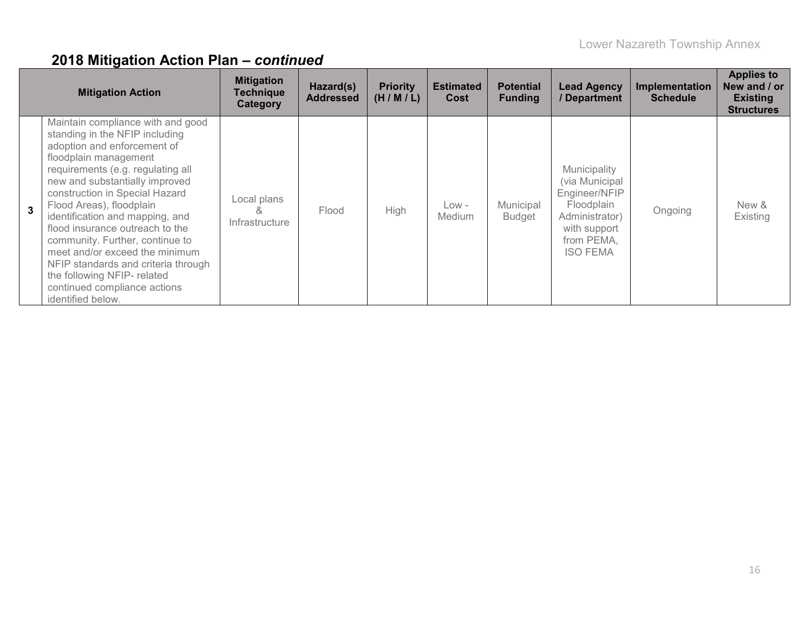|                | <b>Mitigation Action</b>                                                                                                                                                                                                                                                                                                                                                                                                                                                                                                               | <b>Mitigation</b><br><b>Technique</b><br>Category | Hazard(s)<br><b>Addressed</b> | <b>Priority</b><br>(H/M/L) | <b>Estimated</b><br>Cost | <b>Potential</b><br><b>Funding</b> | <b>Lead Agency</b><br>/ Department                                                                                               | Implementation<br><b>Schedule</b> | <b>Applies to</b><br>New and / or<br><b>Existing</b><br><b>Structures</b> |
|----------------|----------------------------------------------------------------------------------------------------------------------------------------------------------------------------------------------------------------------------------------------------------------------------------------------------------------------------------------------------------------------------------------------------------------------------------------------------------------------------------------------------------------------------------------|---------------------------------------------------|-------------------------------|----------------------------|--------------------------|------------------------------------|----------------------------------------------------------------------------------------------------------------------------------|-----------------------------------|---------------------------------------------------------------------------|
| $\overline{3}$ | Maintain compliance with and good<br>standing in the NFIP including<br>adoption and enforcement of<br>floodplain management<br>requirements (e.g. regulating all<br>new and substantially improved<br>construction in Special Hazard<br>Flood Areas), floodplain<br>identification and mapping, and<br>flood insurance outreach to the<br>community. Further, continue to<br>meet and/or exceed the minimum<br>NFIP standards and criteria through<br>the following NFIP- related<br>continued compliance actions<br>identified below. | Local plans<br>Infrastructure                     | Flood                         | High                       | Low -<br>Medium          | Municipal<br><b>Budget</b>         | Municipality<br>(via Municipal<br>Engineer/NFIP<br>Floodplain<br>Administrator)<br>with support<br>from PEMA,<br><b>ISO FEMA</b> | Ongoing                           | New &<br>Existing                                                         |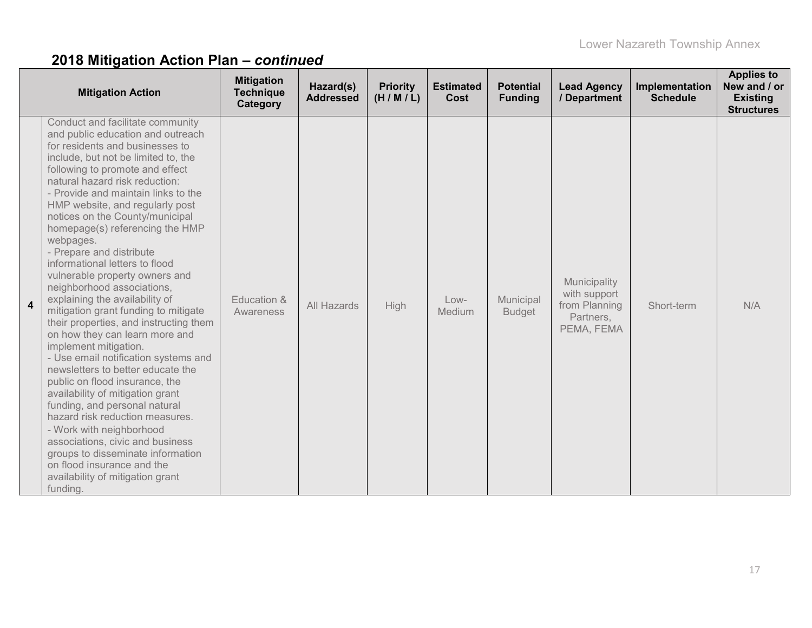|                         | <b>Mitigation Action</b>                                                                                                                                                                                                                                                                                                                                                                                                                                                                                                                                                                                                                                                                                                                                                                                                                                                                                                                                                                                                                                                                                 | <b>Mitigation</b><br><b>Technique</b><br>Category | Hazard(s)<br><b>Addressed</b> | <b>Priority</b><br>(H/M/L) | <b>Estimated</b><br>Cost | <b>Potential</b><br><b>Funding</b> | <b>Lead Agency</b><br>/ Department                                       | Implementation<br><b>Schedule</b> | <b>Applies to</b><br>New and / or<br><b>Existing</b><br><b>Structures</b> |
|-------------------------|----------------------------------------------------------------------------------------------------------------------------------------------------------------------------------------------------------------------------------------------------------------------------------------------------------------------------------------------------------------------------------------------------------------------------------------------------------------------------------------------------------------------------------------------------------------------------------------------------------------------------------------------------------------------------------------------------------------------------------------------------------------------------------------------------------------------------------------------------------------------------------------------------------------------------------------------------------------------------------------------------------------------------------------------------------------------------------------------------------|---------------------------------------------------|-------------------------------|----------------------------|--------------------------|------------------------------------|--------------------------------------------------------------------------|-----------------------------------|---------------------------------------------------------------------------|
| $\overline{\mathbf{4}}$ | Conduct and facilitate community<br>and public education and outreach<br>for residents and businesses to<br>include, but not be limited to, the<br>following to promote and effect<br>natural hazard risk reduction:<br>- Provide and maintain links to the<br>HMP website, and regularly post<br>notices on the County/municipal<br>homepage(s) referencing the HMP<br>webpages.<br>- Prepare and distribute<br>informational letters to flood<br>vulnerable property owners and<br>neighborhood associations,<br>explaining the availability of<br>mitigation grant funding to mitigate<br>their properties, and instructing them<br>on how they can learn more and<br>implement mitigation.<br>- Use email notification systems and<br>newsletters to better educate the<br>public on flood insurance, the<br>availability of mitigation grant<br>funding, and personal natural<br>hazard risk reduction measures.<br>- Work with neighborhood<br>associations, civic and business<br>groups to disseminate information<br>on flood insurance and the<br>availability of mitigation grant<br>funding. | Education &<br>Awareness                          | All Hazards                   | <b>High</b>                | $Low-$<br>Medium         | Municipal<br><b>Budget</b>         | Municipality<br>with support<br>from Planning<br>Partners,<br>PEMA, FEMA | Short-term                        | N/A                                                                       |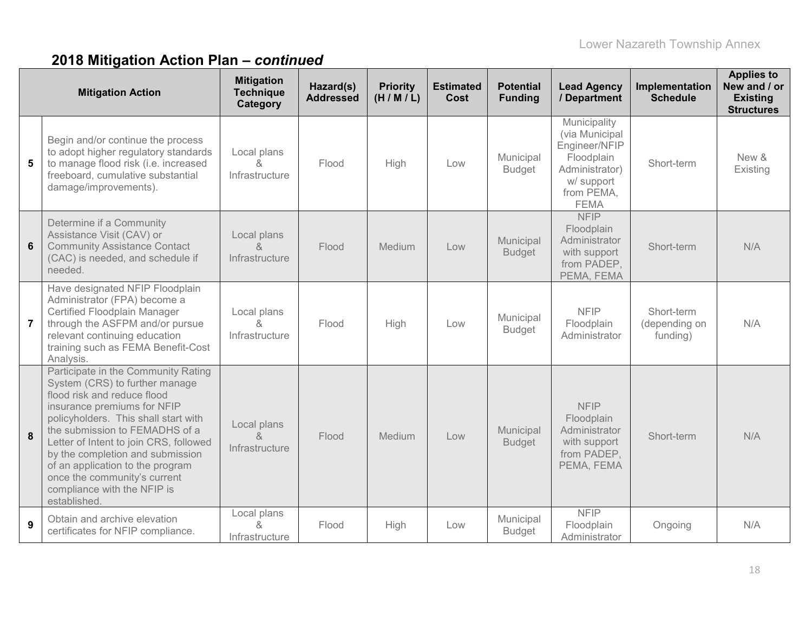|                 | <b>Mitigation Action</b>                                                                                                                                                                                                                                                                                                                                                                                       | <b>Mitigation</b><br><b>Technique</b><br>Category | Hazard(s)<br><b>Addressed</b> | <b>Priority</b><br>(H/M/L) | <b>Estimated</b><br><b>Cost</b> | <b>Potential</b><br><b>Funding</b> | <b>Lead Agency</b><br>/ Department                                                                                         | Implementation<br><b>Schedule</b>       | <b>Applies to</b><br>New and / or<br><b>Existing</b><br><b>Structures</b> |
|-----------------|----------------------------------------------------------------------------------------------------------------------------------------------------------------------------------------------------------------------------------------------------------------------------------------------------------------------------------------------------------------------------------------------------------------|---------------------------------------------------|-------------------------------|----------------------------|---------------------------------|------------------------------------|----------------------------------------------------------------------------------------------------------------------------|-----------------------------------------|---------------------------------------------------------------------------|
| 5               | Begin and/or continue the process<br>to adopt higher regulatory standards<br>to manage flood risk (i.e. increased<br>freeboard, cumulative substantial<br>damage/improvements).                                                                                                                                                                                                                                | Local plans<br>&<br>Infrastructure                | Flood                         | High                       | Low                             | Municipal<br><b>Budget</b>         | Municipality<br>(via Municipal<br>Engineer/NFIP<br>Floodplain<br>Administrator)<br>w/ support<br>from PEMA,<br><b>FEMA</b> | Short-term                              | New &<br>Existing                                                         |
| $6\phantom{1}6$ | Determine if a Community<br>Assistance Visit (CAV) or<br><b>Community Assistance Contact</b><br>(CAC) is needed, and schedule if<br>needed.                                                                                                                                                                                                                                                                    | Local plans<br>&<br>Infrastructure                | Flood                         | Medium                     | Low                             | Municipal<br><b>Budget</b>         | <b>NFIP</b><br>Floodplain<br>Administrator<br>with support<br>from PADEP,<br>PEMA, FEMA                                    | Short-term                              | N/A                                                                       |
| $\overline{7}$  | Have designated NFIP Floodplain<br>Administrator (FPA) become a<br>Certified Floodplain Manager<br>through the ASFPM and/or pursue<br>relevant continuing education<br>training such as FEMA Benefit-Cost<br>Analysis.                                                                                                                                                                                         | Local plans<br>&<br>Infrastructure                | Flood                         | High                       | Low                             | Municipal<br><b>Budget</b>         | <b>NFIP</b><br>Floodplain<br>Administrator                                                                                 | Short-term<br>(depending on<br>funding) | N/A                                                                       |
| 8               | Participate in the Community Rating<br>System (CRS) to further manage<br>flood risk and reduce flood<br>insurance premiums for NFIP<br>policyholders. This shall start with<br>the submission to FEMADHS of a<br>Letter of Intent to join CRS, followed<br>by the completion and submission<br>of an application to the program<br>once the community's current<br>compliance with the NFIP is<br>established. | Local plans<br>$\alpha$<br>Infrastructure         | Flood                         | Medium                     | Low                             | Municipal<br><b>Budget</b>         | <b>NFIP</b><br>Floodplain<br>Administrator<br>with support<br>from PADEP,<br>PEMA, FEMA                                    | Short-term                              | N/A                                                                       |
| 9               | Obtain and archive elevation<br>certificates for NFIP compliance.                                                                                                                                                                                                                                                                                                                                              | Local plans<br>&<br>Infrastructure                | Flood                         | High                       | Low                             | Municipal<br><b>Budget</b>         | <b>NFIP</b><br>Floodplain<br>Administrator                                                                                 | Ongoing                                 | N/A                                                                       |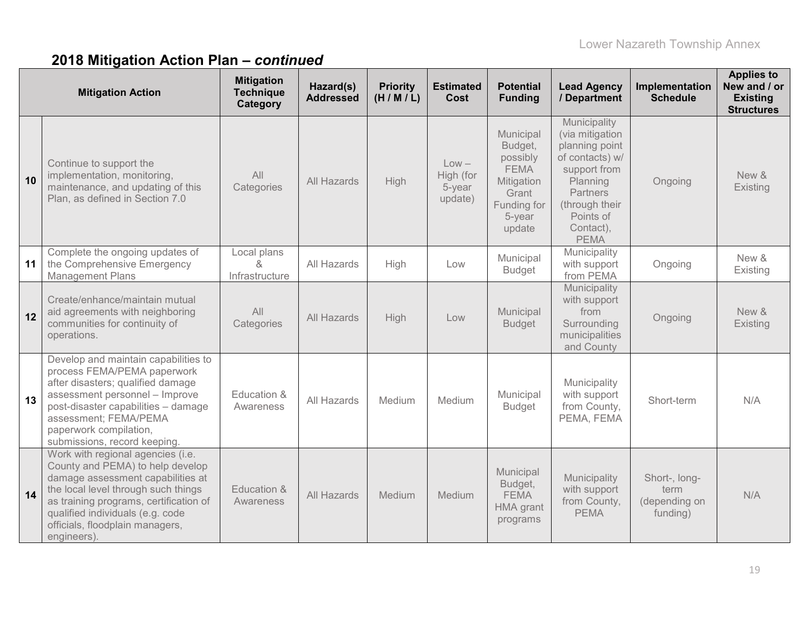|    | <b>Mitigation Action</b>                                                                                                                                                                                                                                                          | <b>Mitigation</b><br><b>Technique</b><br>Category | Hazard(s)<br><b>Addressed</b> | <b>Priority</b><br>(H/M/L) | <b>Estimated</b><br><b>Cost</b>           | <b>Potential</b><br><b>Funding</b>                                                                        | <b>Lead Agency</b><br>/ Department                                                                                                                                             | Implementation<br><b>Schedule</b>                  | <b>Applies to</b><br>New and / or<br><b>Existing</b><br><b>Structures</b> |
|----|-----------------------------------------------------------------------------------------------------------------------------------------------------------------------------------------------------------------------------------------------------------------------------------|---------------------------------------------------|-------------------------------|----------------------------|-------------------------------------------|-----------------------------------------------------------------------------------------------------------|--------------------------------------------------------------------------------------------------------------------------------------------------------------------------------|----------------------------------------------------|---------------------------------------------------------------------------|
| 10 | Continue to support the<br>implementation, monitoring,<br>maintenance, and updating of this<br>Plan, as defined in Section 7.0                                                                                                                                                    | All<br>Categories                                 | All Hazards                   | High                       | $Low -$<br>High (for<br>5-year<br>update) | Municipal<br>Budget,<br>possibly<br><b>FEMA</b><br>Mitigation<br>Grant<br>Funding for<br>5-year<br>update | Municipality<br>(via mitigation<br>planning point<br>of contacts) w/<br>support from<br>Planning<br><b>Partners</b><br>(through their<br>Points of<br>Contact),<br><b>PEMA</b> | Ongoing                                            | New &<br>Existing                                                         |
| 11 | Complete the ongoing updates of<br>the Comprehensive Emergency<br><b>Management Plans</b>                                                                                                                                                                                         | Local plans<br>$\alpha$<br>Infrastructure         | All Hazards                   | High                       | Low                                       | Municipal<br><b>Budget</b>                                                                                | Municipality<br>with support<br>from PEMA                                                                                                                                      | Ongoing                                            | New &<br>Existing                                                         |
| 12 | Create/enhance/maintain mutual<br>aid agreements with neighboring<br>communities for continuity of<br>operations.                                                                                                                                                                 | All<br>Categories                                 | All Hazards                   | High                       | Low                                       | Municipal<br><b>Budget</b>                                                                                | Municipality<br>with support<br>from<br>Surrounding<br>municipalities<br>and County                                                                                            | Ongoing                                            | New &<br>Existing                                                         |
| 13 | Develop and maintain capabilities to<br>process FEMA/PEMA paperwork<br>after disasters; qualified damage<br>assessment personnel - Improve<br>post-disaster capabilities - damage<br>assessment; FEMA/PEMA<br>paperwork compilation,<br>submissions, record keeping.              | Education &<br>Awareness                          | All Hazards                   | Medium                     | Medium                                    | Municipal<br><b>Budget</b>                                                                                | Municipality<br>with support<br>from County,<br>PEMA, FEMA                                                                                                                     | Short-term                                         | N/A                                                                       |
| 14 | Work with regional agencies (i.e.<br>County and PEMA) to help develop<br>damage assessment capabilities at<br>the local level through such things<br>as training programs, certification of<br>qualified individuals (e.g. code<br>officials, floodplain managers,<br>engineers). | Education &<br>Awareness                          | All Hazards                   | Medium                     | Medium                                    | Municipal<br>Budget,<br><b>FEMA</b><br>HMA grant<br>programs                                              | Municipality<br>with support<br>from County,<br><b>PEMA</b>                                                                                                                    | Short-, long-<br>term<br>(depending on<br>funding) | N/A                                                                       |